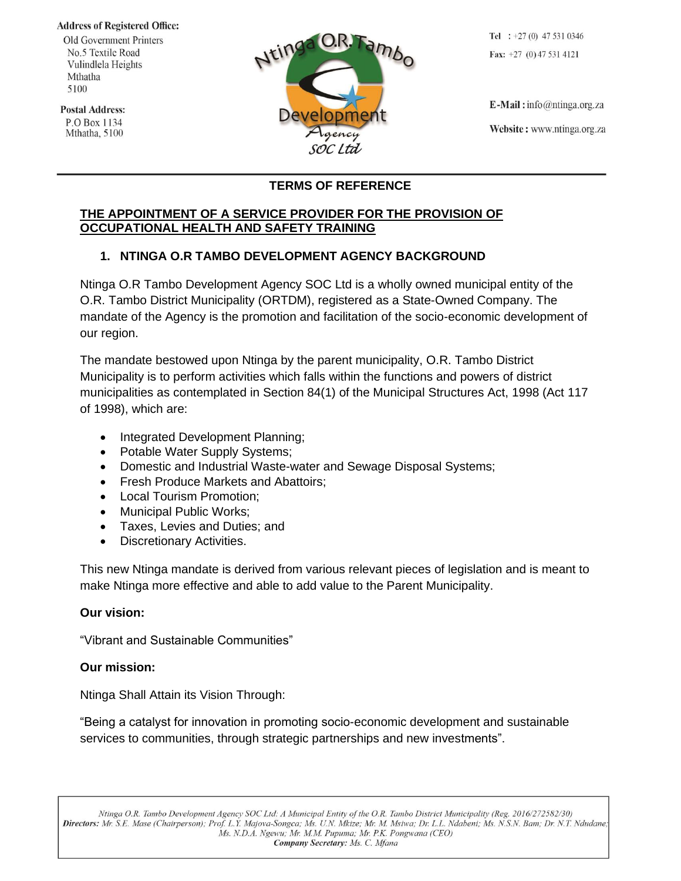#### **Address of Registered Office:**

Old Government Printers No.5 Textile Road Vulindlela Heights Mthatha 5100

**Postal Address:** P.O Box 1134 Mthatha, 5100



Tel :  $+27(0)$  47 531 0346 Fax:  $+27$  (0) 47 531 4121

 $E$ -Mail: info@ntinga.org.za Website: www.ntinga.org.za

# **TERMS OF REFERENCE**

#### **THE APPOINTMENT OF A SERVICE PROVIDER FOR THE PROVISION OF OCCUPATIONAL HEALTH AND SAFETY TRAINING**

# **1. NTINGA O.R TAMBO DEVELOPMENT AGENCY BACKGROUND**

Ntinga O.R Tambo Development Agency SOC Ltd is a wholly owned municipal entity of the O.R. Tambo District Municipality (ORTDM), registered as a State-Owned Company. The mandate of the Agency is the promotion and facilitation of the socio-economic development of our region.

The mandate bestowed upon Ntinga by the parent municipality, O.R. Tambo District Municipality is to perform activities which falls within the functions and powers of district municipalities as contemplated in Section 84(1) of the Municipal Structures Act, 1998 (Act 117 of 1998), which are:

- Integrated Development Planning:
- Potable Water Supply Systems;
- Domestic and Industrial Waste-water and Sewage Disposal Systems;
- Fresh Produce Markets and Abattoirs;
- Local Tourism Promotion;
- Municipal Public Works;
- Taxes, Levies and Duties; and
- Discretionary Activities.

This new Ntinga mandate is derived from various relevant pieces of legislation and is meant to make Ntinga more effective and able to add value to the Parent Municipality.

### **Our vision:**

"Vibrant and Sustainable Communities"

### **Our mission:**

Ntinga Shall Attain its Vision Through:

"Being a catalyst for innovation in promoting socio-economic development and sustainable services to communities, through strategic partnerships and new investments".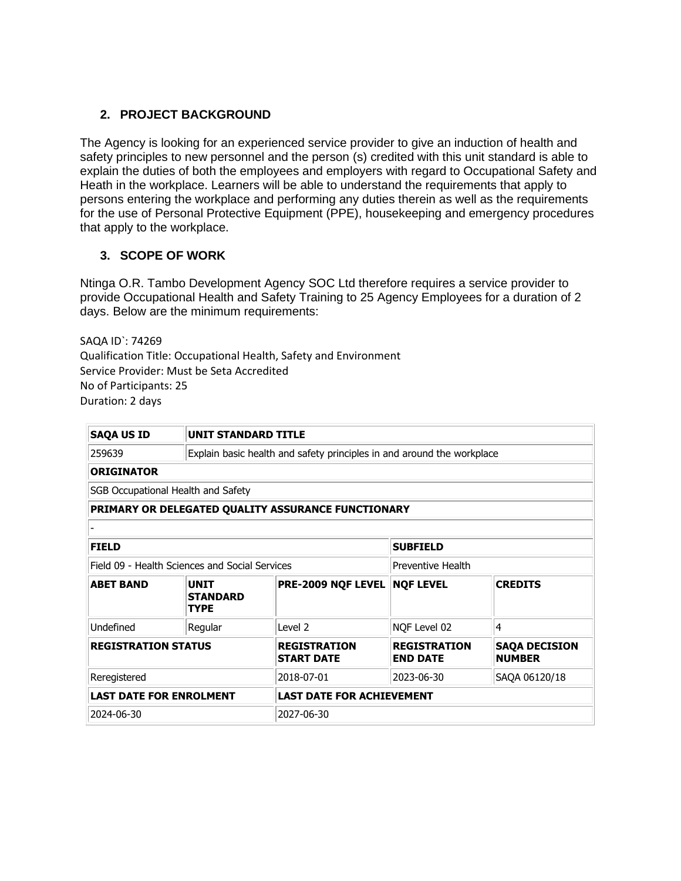# **2. PROJECT BACKGROUND**

The Agency is looking for an experienced service provider to give an induction of health and safety principles to new personnel and the person (s) credited with this unit standard is able to explain the duties of both the employees and employers with regard to Occupational Safety and Heath in the workplace. Learners will be able to understand the requirements that apply to persons entering the workplace and performing any duties therein as well as the requirements for the use of Personal Protective Equipment (PPE), housekeeping and emergency procedures that apply to the workplace.

### **3. SCOPE OF WORK**

Ntinga O.R. Tambo Development Agency SOC Ltd therefore requires a service provider to provide Occupational Health and Safety Training to 25 Agency Employees for a duration of 2 days. Below are the minimum requirements:

SAQA ID`: 74269 Qualification Title: Occupational Health, Safety and Environment Service Provider: Must be Seta Accredited No of Participants: 25 Duration: 2 days

| <b>SAQA US ID</b>                              | <b>UNIT STANDARD TITLE</b>                                             |                                                    |                                        |                                       |  |
|------------------------------------------------|------------------------------------------------------------------------|----------------------------------------------------|----------------------------------------|---------------------------------------|--|
| 259639                                         | Explain basic health and safety principles in and around the workplace |                                                    |                                        |                                       |  |
| <b>ORIGINATOR</b>                              |                                                                        |                                                    |                                        |                                       |  |
| SGB Occupational Health and Safety             |                                                                        |                                                    |                                        |                                       |  |
|                                                |                                                                        | PRIMARY OR DELEGATED QUALITY ASSURANCE FUNCTIONARY |                                        |                                       |  |
|                                                |                                                                        |                                                    |                                        |                                       |  |
| <b>FIELD</b>                                   |                                                                        |                                                    | <b>SUBFIELD</b>                        |                                       |  |
| Field 09 - Health Sciences and Social Services |                                                                        | <b>Preventive Health</b>                           |                                        |                                       |  |
| <b>ABET BAND</b>                               | <b>UNTT</b><br><b>STANDARD</b><br><b>TYPE</b>                          | PRE-2009 NQF LEVEL                                 | <b>NQF LEVEL</b>                       | <b>CREDITS</b>                        |  |
| Undefined                                      | Regular                                                                | Level <sub>2</sub>                                 | NQF Level 02                           | 4                                     |  |
| <b>REGISTRATION STATUS</b>                     |                                                                        | <b>REGISTRATION</b><br><b>START DATE</b>           | <b>REGISTRATION</b><br><b>END DATE</b> | <b>SAQA DECISION</b><br><b>NUMBER</b> |  |
| Reregistered                                   |                                                                        | 2018-07-01                                         | 2023-06-30                             | SAQA 06120/18                         |  |
|                                                | <b>LAST DATE FOR ENROLMENT</b><br><b>LAST DATE FOR ACHIEVEMENT</b>     |                                                    |                                        |                                       |  |
| 2024-06-30                                     | 2027-06-30                                                             |                                                    |                                        |                                       |  |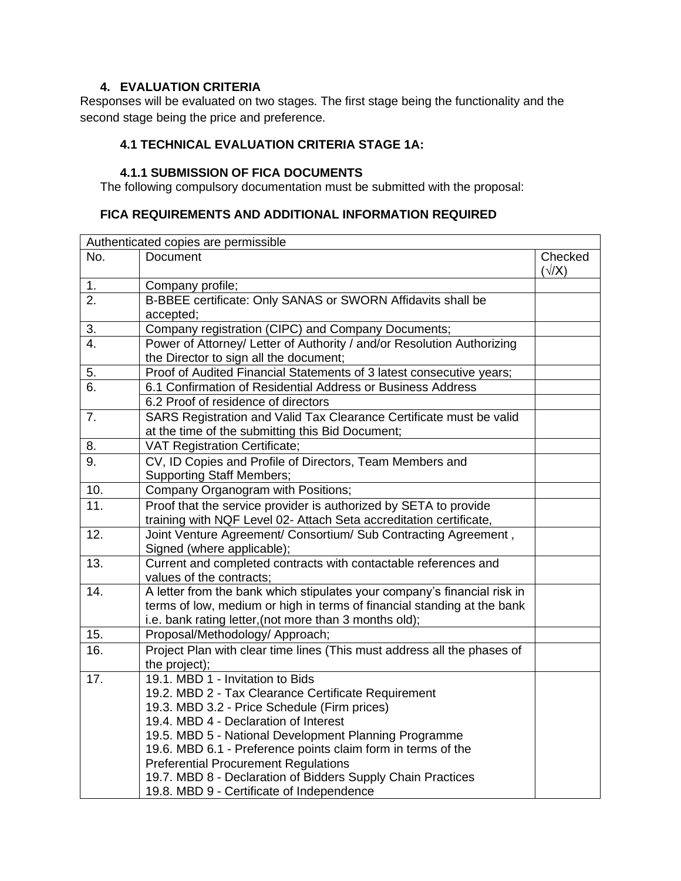# **4. EVALUATION CRITERIA**

Responses will be evaluated on two stages. The first stage being the functionality and the second stage being the price and preference.

## **4.1 TECHNICAL EVALUATION CRITERIA STAGE 1A:**

# **4.1.1 SUBMISSION OF FICA DOCUMENTS**

The following compulsory documentation must be submitted with the proposal:

## **FICA REQUIREMENTS AND ADDITIONAL INFORMATION REQUIRED**

|                  | Authenticated copies are permissible                                                                                                                                                                                                                                                                                                                                                                                                                                 |                         |
|------------------|----------------------------------------------------------------------------------------------------------------------------------------------------------------------------------------------------------------------------------------------------------------------------------------------------------------------------------------------------------------------------------------------------------------------------------------------------------------------|-------------------------|
| No.              | <b>Document</b>                                                                                                                                                                                                                                                                                                                                                                                                                                                      | Checked<br>$(\sqrt{X})$ |
| 1 <sub>1</sub>   | Company profile;                                                                                                                                                                                                                                                                                                                                                                                                                                                     |                         |
| $\overline{2}$ . | B-BBEE certificate: Only SANAS or SWORN Affidavits shall be<br>accepted;                                                                                                                                                                                                                                                                                                                                                                                             |                         |
| 3.               | Company registration (CIPC) and Company Documents;                                                                                                                                                                                                                                                                                                                                                                                                                   |                         |
| $\overline{4}$ . | Power of Attorney/ Letter of Authority / and/or Resolution Authorizing<br>the Director to sign all the document;                                                                                                                                                                                                                                                                                                                                                     |                         |
| 5.               | Proof of Audited Financial Statements of 3 latest consecutive years;                                                                                                                                                                                                                                                                                                                                                                                                 |                         |
| 6.               | 6.1 Confirmation of Residential Address or Business Address                                                                                                                                                                                                                                                                                                                                                                                                          |                         |
|                  | 6.2 Proof of residence of directors                                                                                                                                                                                                                                                                                                                                                                                                                                  |                         |
| 7.               | SARS Registration and Valid Tax Clearance Certificate must be valid<br>at the time of the submitting this Bid Document;                                                                                                                                                                                                                                                                                                                                              |                         |
| 8.               | <b>VAT Registration Certificate;</b>                                                                                                                                                                                                                                                                                                                                                                                                                                 |                         |
| 9.               | CV, ID Copies and Profile of Directors, Team Members and<br><b>Supporting Staff Members;</b>                                                                                                                                                                                                                                                                                                                                                                         |                         |
| 10.              | Company Organogram with Positions;                                                                                                                                                                                                                                                                                                                                                                                                                                   |                         |
| 11.              | Proof that the service provider is authorized by SETA to provide<br>training with NQF Level 02- Attach Seta accreditation certificate,                                                                                                                                                                                                                                                                                                                               |                         |
| 12.              | Joint Venture Agreement/ Consortium/ Sub Contracting Agreement,<br>Signed (where applicable);                                                                                                                                                                                                                                                                                                                                                                        |                         |
| 13.              | Current and completed contracts with contactable references and<br>values of the contracts:                                                                                                                                                                                                                                                                                                                                                                          |                         |
| 14.              | A letter from the bank which stipulates your company's financial risk in<br>terms of low, medium or high in terms of financial standing at the bank<br>i.e. bank rating letter, (not more than 3 months old);                                                                                                                                                                                                                                                        |                         |
| 15.              | Proposal/Methodology/ Approach;                                                                                                                                                                                                                                                                                                                                                                                                                                      |                         |
| 16.              | Project Plan with clear time lines (This must address all the phases of<br>the project);                                                                                                                                                                                                                                                                                                                                                                             |                         |
| 17.              | 19.1. MBD 1 - Invitation to Bids<br>19.2. MBD 2 - Tax Clearance Certificate Requirement<br>19.3. MBD 3.2 - Price Schedule (Firm prices)<br>19.4. MBD 4 - Declaration of Interest<br>19.5. MBD 5 - National Development Planning Programme<br>19.6. MBD 6.1 - Preference points claim form in terms of the<br><b>Preferential Procurement Regulations</b><br>19.7. MBD 8 - Declaration of Bidders Supply Chain Practices<br>19.8. MBD 9 - Certificate of Independence |                         |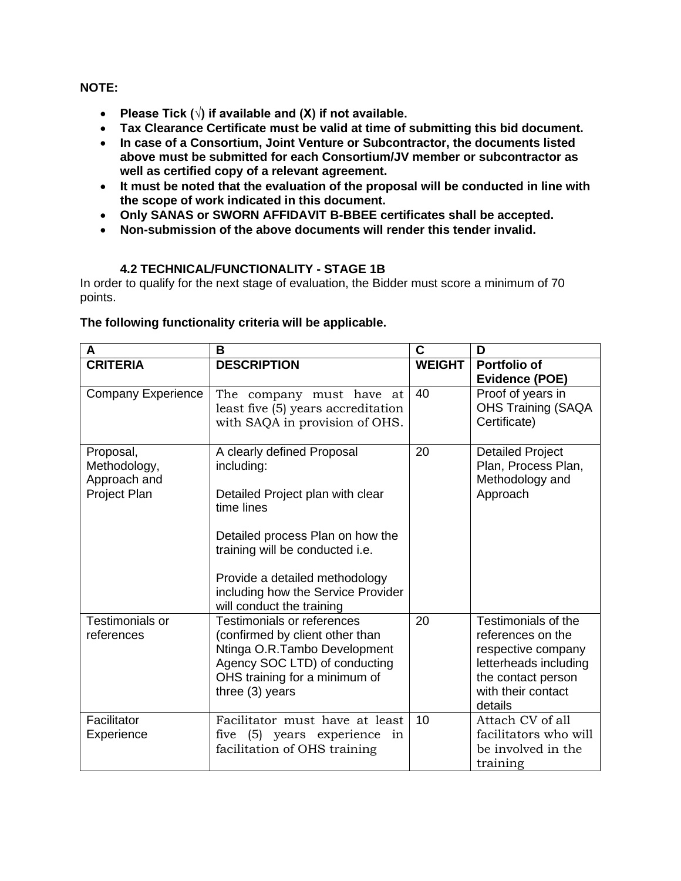**NOTE:**

- **Please Tick (√) if available and (X) if not available.**
- **Tax Clearance Certificate must be valid at time of submitting this bid document.**
- **In case of a Consortium, Joint Venture or Subcontractor, the documents listed above must be submitted for each Consortium/JV member or subcontractor as well as certified copy of a relevant agreement.**
- **It must be noted that the evaluation of the proposal will be conducted in line with the scope of work indicated in this document.**
- **Only SANAS or SWORN AFFIDAVIT B-BBEE certificates shall be accepted.**
- **Non-submission of the above documents will render this tender invalid.**

# **4.2 TECHNICAL/FUNCTIONALITY - STAGE 1B**

In order to qualify for the next stage of evaluation, the Bidder must score a minimum of 70 points.

### **The following functionality criteria will be applicable.**

| A                                                         | B                                                                                                                                                                                                                                                                      | C             | D                                                                                                                                              |
|-----------------------------------------------------------|------------------------------------------------------------------------------------------------------------------------------------------------------------------------------------------------------------------------------------------------------------------------|---------------|------------------------------------------------------------------------------------------------------------------------------------------------|
| <b>CRITERIA</b>                                           | <b>DESCRIPTION</b>                                                                                                                                                                                                                                                     | <b>WEIGHT</b> | Portfolio of<br>Evidence (POE)                                                                                                                 |
| <b>Company Experience</b>                                 | The company must have at<br>least five (5) years accreditation<br>with SAQA in provision of OHS.                                                                                                                                                                       | 40            | Proof of years in<br><b>OHS Training (SAQA</b><br>Certificate)                                                                                 |
| Proposal,<br>Methodology,<br>Approach and<br>Project Plan | A clearly defined Proposal<br>including:<br>Detailed Project plan with clear<br>time lines<br>Detailed process Plan on how the<br>training will be conducted i.e.<br>Provide a detailed methodology<br>including how the Service Provider<br>will conduct the training | 20            | <b>Detailed Project</b><br>Plan, Process Plan,<br>Methodology and<br>Approach                                                                  |
| Testimonials or<br>references                             | Testimonials or references<br>(confirmed by client other than<br>Ntinga O.R.Tambo Development<br>Agency SOC LTD) of conducting<br>OHS training for a minimum of<br>three (3) years                                                                                     | 20            | Testimonials of the<br>references on the<br>respective company<br>letterheads including<br>the contact person<br>with their contact<br>details |
| Facilitator<br>Experience                                 | Facilitator must have at least<br>five (5) years experience<br>in<br>facilitation of OHS training                                                                                                                                                                      | 10            | Attach CV of all<br>facilitators who will<br>be involved in the<br>training                                                                    |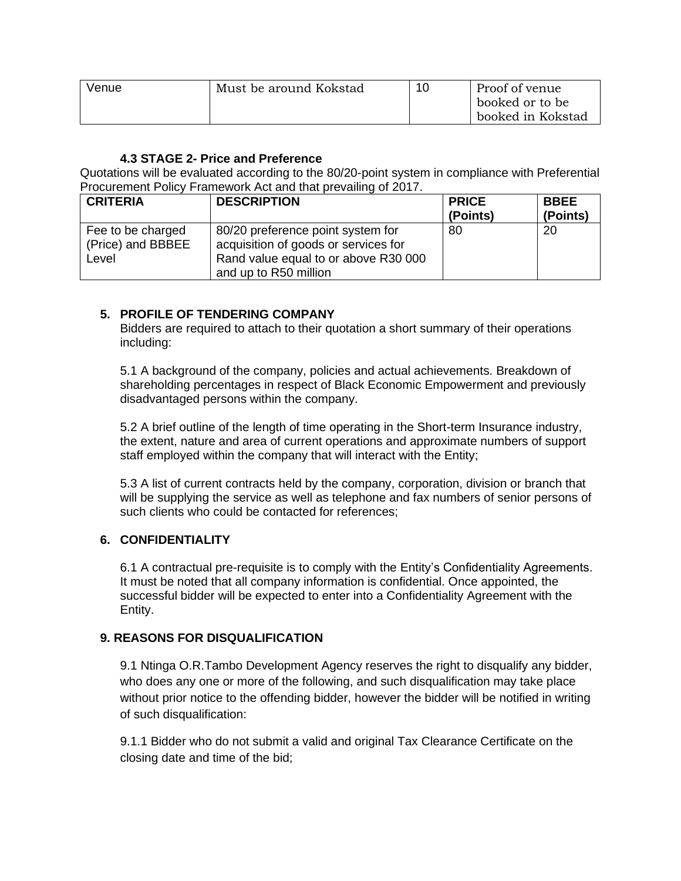| Venue | Must be around Kokstad | 10 | Proof of venue    |
|-------|------------------------|----|-------------------|
|       |                        |    | booked or to be   |
|       |                        |    | booked in Kokstad |

## **4.3 STAGE 2- Price and Preference**

Quotations will be evaluated according to the 80/20-point system in compliance with Preferential Procurement Policy Framework Act and that prevailing of 2017.

| <b>CRITERIA</b>                                 | <b>DESCRIPTION</b>                                                                                                                         | <b>PRICE</b><br>(Points) | <b>BBEE</b><br>(Points) |
|-------------------------------------------------|--------------------------------------------------------------------------------------------------------------------------------------------|--------------------------|-------------------------|
| Fee to be charged<br>(Price) and BBBEE<br>Level | 80/20 preference point system for<br>acquisition of goods or services for<br>Rand value equal to or above R30 000<br>and up to R50 million | 80                       | 20                      |

# **5. PROFILE OF TENDERING COMPANY**

Bidders are required to attach to their quotation a short summary of their operations including:

5.1 A background of the company, policies and actual achievements. Breakdown of shareholding percentages in respect of Black Economic Empowerment and previously disadvantaged persons within the company.

5.2 A brief outline of the length of time operating in the Short-term Insurance industry, the extent, nature and area of current operations and approximate numbers of support staff employed within the company that will interact with the Entity;

5.3 A list of current contracts held by the company, corporation, division or branch that will be supplying the service as well as telephone and fax numbers of senior persons of such clients who could be contacted for references;

### **6. CONFIDENTIALITY**

6.1 A contractual pre-requisite is to comply with the Entity's Confidentiality Agreements. It must be noted that all company information is confidential. Once appointed, the successful bidder will be expected to enter into a Confidentiality Agreement with the Entity.

### **9. REASONS FOR DISQUALIFICATION**

9.1 Ntinga O.R.Tambo Development Agency reserves the right to disqualify any bidder, who does any one or more of the following, and such disqualification may take place without prior notice to the offending bidder, however the bidder will be notified in writing of such disqualification:

9.1.1 Bidder who do not submit a valid and original Tax Clearance Certificate on the closing date and time of the bid;